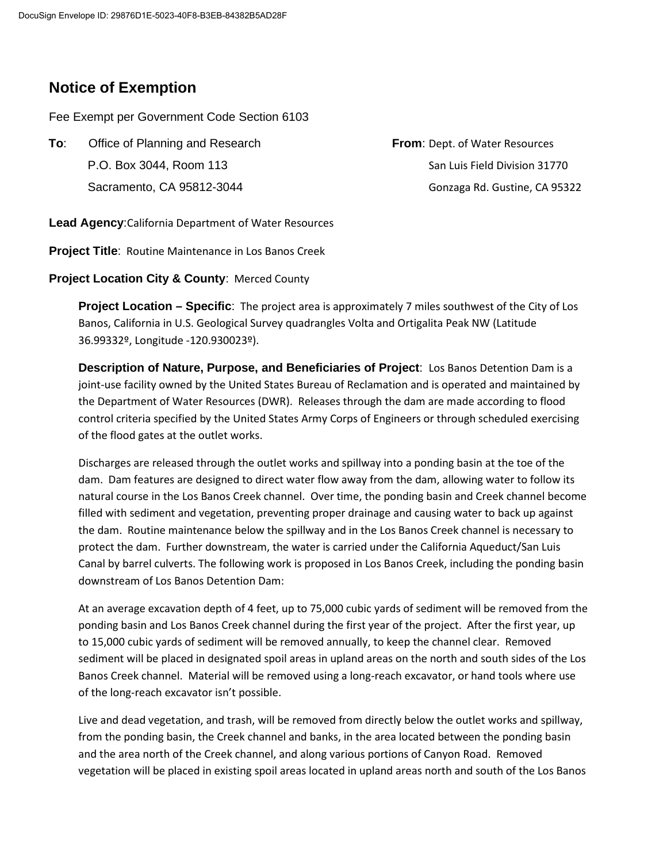## **Notice of Exemption**

Fee Exempt per Government Code Section 6103

**To:** Office of Planning and Research **From**: Dept. of Water Resources P.O. Box 3044, Room 113 CP.O. Box 3044, Room 113 Sacramento, CA 95812-3044 Gonzaga Rd. Gustine, CA 95322

**Lead Agency**:California Department of Water Resources

**Project Title**: Routine Maintenance in Los Banos Creek

**Project Location City & County**: Merced County

**Project Location – Specific**: The project area is approximately 7 miles southwest of the City of Los Banos, California in U.S. Geological Survey quadrangles Volta and Ortigalita Peak NW (Latitude 36.99332º, Longitude -120.930023º).

**Description of Nature, Purpose, and Beneficiaries of Project**: Los Banos Detention Dam is a joint-use facility owned by the United States Bureau of Reclamation and is operated and maintained by the Department of Water Resources (DWR). Releases through the dam are made according to flood control criteria specified by the United States Army Corps of Engineers or through scheduled exercising of the flood gates at the outlet works.

Discharges are released through the outlet works and spillway into a ponding basin at the toe of the dam. Dam features are designed to direct water flow away from the dam, allowing water to follow its natural course in the Los Banos Creek channel. Over time, the ponding basin and Creek channel become filled with sediment and vegetation, preventing proper drainage and causing water to back up against the dam. Routine maintenance below the spillway and in the Los Banos Creek channel is necessary to protect the dam. Further downstream, the water is carried under the California Aqueduct/San Luis Canal by barrel culverts. The following work is proposed in Los Banos Creek, including the ponding basin downstream of Los Banos Detention Dam:

At an average excavation depth of 4 feet, up to 75,000 cubic yards of sediment will be removed from the ponding basin and Los Banos Creek channel during the first year of the project. After the first year, up to 15,000 cubic yards of sediment will be removed annually, to keep the channel clear. Removed sediment will be placed in designated spoil areas in upland areas on the north and south sides of the Los Banos Creek channel. Material will be removed using a long-reach excavator, or hand tools where use of the long-reach excavator isn't possible.

Live and dead vegetation, and trash, will be removed from directly below the outlet works and spillway, from the ponding basin, the Creek channel and banks, in the area located between the ponding basin and the area north of the Creek channel, and along various portions of Canyon Road. Removed vegetation will be placed in existing spoil areas located in upland areas north and south of the Los Banos